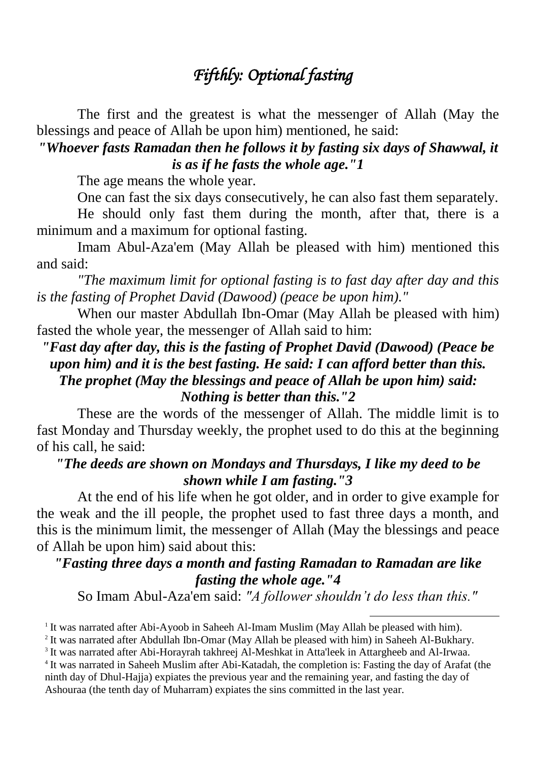# *Fifthly: Optional fasting*

The first and the greatest is what the messenger of Allah (May the blessings and peace of Allah be upon him) mentioned, he said:

## *"Whoever fasts Ramadan then he follows it by fasting six days of Shawwal, it is as if he fasts the whole age."1*

The age means the whole year.

One can fast the six days consecutively, he can also fast them separately.

He should only fast them during the month, after that, there is a minimum and a maximum for optional fasting.

Imam Abul-Aza'em (May Allah be pleased with him) mentioned this and said:

*"The maximum limit for optional fasting is to fast day after day and this is the fasting of Prophet David (Dawood) (peace be upon him)."*

When our master Abdullah Ibn-Omar (May Allah be pleased with him) fasted the whole year, the messenger of Allah said to him:

### *"Fast day after day, this is the fasting of Prophet David (Dawood) (Peace be upon him) and it is the best fasting. He said: I can afford better than this. The prophet (May the blessings and peace of Allah be upon him) said: Nothing is better than this."2*

These are the words of the messenger of Allah. The middle limit is to fast Monday and Thursday weekly, the prophet used to do this at the beginning of his call, he said:

### *"The deeds are shown on Mondays and Thursdays, I like my deed to be shown while I am fasting."3*

At the end of his life when he got older, and in order to give example for the weak and the ill people, the prophet used to fast three days a month, and this is the minimum limit, the messenger of Allah (May the blessings and peace of Allah be upon him) said about this:

### *"Fasting three days a month and fasting Ramadan to Ramadan are like fasting the whole age."4*

So Imam Abul-Aza'em said: *"A follower shouldn't do less than this."*

1

<sup>&</sup>lt;sup>1</sup> It was narrated after Abi-Ayoob in Saheeh Al-Imam Muslim (May Allah be pleased with him).

<sup>&</sup>lt;sup>2</sup> It was narrated after Abdullah Ibn-Omar (May Allah be pleased with him) in Saheeh Al-Bukhary.

<sup>&</sup>lt;sup>3</sup> It was narrated after Abi-Horayrah takhreej Al-Meshkat in Atta'leek in Attargheeb and Al-Irwaa.

<sup>&</sup>lt;sup>4</sup> It was narrated in Saheeh Muslim after Abi-Katadah, the completion is: Fasting the day of Arafat (the ninth day of Dhul-Hajja) expiates the previous year and the remaining year, and fasting the day of Ashouraa (the tenth day of Muharram) expiates the sins committed in the last year.